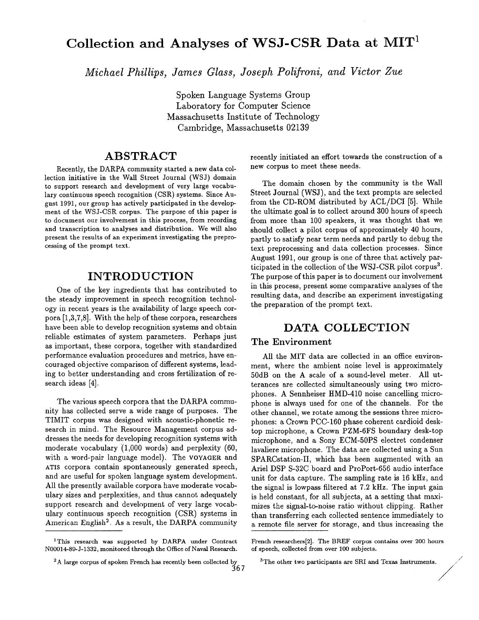# Collection and Analyses of WSJ-CSR Data at MIT<sup>1</sup>

*Michael Phillips, James Glass, Joseph Polifroni, and Victor Zue* 

Spoken Language Systems Group Laboratory for Computer Science Massachusetts Institute of Technology Cambridge, Massachusetts 02139

## **ABSTRACT**

Recently, the DARPA community started a new data collection initiative in the Wall Street Journal (WSJ) domain to support research and development of very large vocabulary continuous speech recognition (CSR) systems. Since August 1991, our group has actively participated in the development of the WSJ-CSR corpus. The purpose of this paper is to document our involvement in this process, from recording and transcription to analyses and distribution. We will also present the results of an experiment investigating the preprocessing of the prompt text.

## **INTRODUCTION**

One of the key ingredients that has contributed to the steady improvement in speech recognition technology in recent years is the availability of large speech corpora [1,3,7,8]. With the help of these corpora, researchers have been able to develop recognition systems and obtain reliable estimates of system parameters. Perhaps just as important, these corpora, together with standardized performance evaluation procedures and metrics, have encouraged objective comparison of different systems, leading to better understanding and cross fertilization of research ideas [4].

The various speech corpora that the DARPA community has collected serve a wide range of purposes. The TIMIT corpus was designed with acoustic-phonetic research in mind. The Resource Management corpus addresses the needs for developing recognition systems with moderate vocabulary (1,000 words) and perplexity (60, with a word-pair language model). The VOYAGER and ATIS corpora contain spontaneously generated speech, and are useful for spoken language system development. All the presently available corpora have moderate vocabulary sizes and perplexities, and thus cannot adequately support research and development of very large vocabulary continuous speech recognition (CSR) systems in American English<sup>2</sup>. As a result, the DARPA community recently initiated an effort towards the construction of a new corpus to meet these needs.

The domain chosen by the community is the Wall Street Journal (WSJ), and the text prompts are selected from the CD-ROM distributed by ACL/DCI [5]. While the ultimate goal is to collect around 300 hours of speech from more than 100 speakers, it was thought that we should collect a pilot corpus of approximately 40 hours, partly to satisfy near term needs and partly to debug the text preprocessing and data collection processes. Since August 1991, our group is one of three that actively participated in the collection of the WSJ-CSR pilot corpus<sup>3</sup>. The purpose of this paper is to document our involvement in this process, present some comparative analyses of the resulting data, and describe an experiment investigating the preparation of the prompt text.

### **DATA COLLECTION**

#### The Environment

All the MIT data are collected in an office environment, where the ambient noise level is approximately 50dB on the A scale of a sound-level meter. All utterances are collected simultaneously using two microphones. A Sennheiser HMD-410 noise cancelling microphone is always used for one of the channels. For the other channel, we rotate among the sessions three microphones: a Crown PCC-160 phase coherent cardioid desktop microphone, a Crown PZM-6FS boundary desk-top microphone, and a Sony ECM-50PS electret condenser lavaliere microphone. The data are collected using a Sun SPARCstation-II, which has been augmented with an Ariel DSP S-32C board and ProPort-656 audio interface unit for data capture. The sampling rate is 16 kHz, and the signal is lowpass filtered at 7.2 kHz. The input gain is held constant, for all subjects, at a setting that maximizes the signal-to-noise ratio without clipping. Rather than transferring each collected sentence immediately to a remote file server for storage, and thus increasing the

<sup>1</sup>This research was supported by DARPA under Contract N00014-89-J-1332, monitored through the Office of Naval Research.

<sup>&</sup>lt;sup>2</sup>A large corpus of spoken French has recently been collected by 367

French researchers[2]. The BREF corpus contains over 200 hours of speech, collected from over 100 subjects.

 $3$ The other two participants are SRI and Texas Instruments.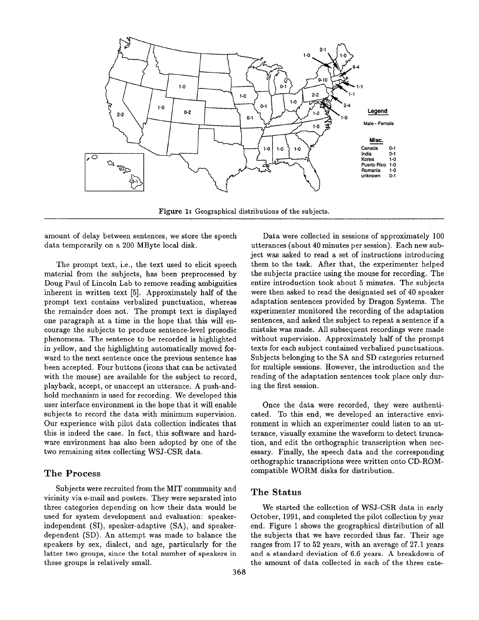

Figure 1: Geographical distributions of the subjects.

amount of delay between sentences, we store the speech data temporarily on a 200 MByte local disk.

The prompt text, i.e., the text used to elicit speech material from the subjects, has been preprocessed by Doug Paul of Lincoln Lab to remove reading ambiguities inherent in written text [5]. Approximately half of the prompt text contains verbalized punctuation, whereas the remainder does not. The prompt text is displayed one paragraph at a time in the hope that this will encourage the subjects to produce sentence-level prosodic phenomena. The sentence to be recorded is highlighted in yellow, and the highlighting automatically moved forward to the next sentence once the previous sentence has been accepted. Four buttons (icons that can be activated with the mouse) are available for the subject to record, playback, accept, or unaccept an utterance. A push-andhold mechanism is used for recording. We developed this user interface environment in the hope that it will enable subjects to record the data with minimum supervision. Our experience with pilot data collection indicates that this is indeed the case. In fact, this software and hardware environment has also been adopted by one of the two remaining sites collecting WSJ-CSR data.

#### The Process

Subjects were recruited from the MIT community and vicinity via e-mail and posters. They were separated into three categories depending on how their data would be used for system development and evaluation: speakerindependent (SI), speaker-adaptive (SA), and speakerdependent (SD). An attempt was made to balance the speakers by sex, dialect, and age, particularly for the latter two groups, since the total number of speakers in these groups is relatively small.

cated. To this end, we developed an interactive environment in which an experimenter could listen to an utterance, visually examine the waveform to detect truncation, and edit the orthographic transcription when necessary. Finally, the speech data and the corresponding orthographic transcriptions were written onto CD-ROMcompatible WORM disks for distribution. The Status We started the collection of WSJ-CSR data in early

ing the first session.

October, 1991, and completed the pilot collection by year end. Figure 1 shows the geographical distribution of all the subjects that we have recorded thus far. Their age ranges from 17 to 52 years, with an average of 27.1 years and a standard deviation of 6.6 years. A breakdown of the amount of data collected in each of the three cate-

Once the data were recorded, they were authenti-

Data were collected in sessions of approximately 100 utterances (about 40 minutes per session). Each new subject was asked to read a set of instructions introducing them to the task. After that, the experimenter helped the subjects practice using the mouse for recording. The entire introduction took about 5 minutes. The subjects were then asked to read the designated set of 40 speaker adaptation sentences provided by Dragon Systems. The experimenter monitored the recording of the adaptation sentences, and asked the subject to repeat a sentence if a mistake was made. All subsequent recordings were made without supervision. Approximately half of the prompt texts for each subject contained verbalized punctuations. Subjects belonging to the SA and SD categories returned for multiple sessions. However, the introduction and the reading of the adaptation sentences took place only dur-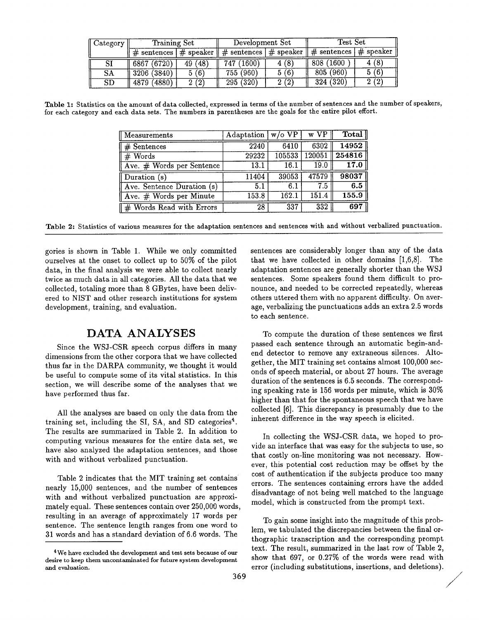| $\parallel$ Category | Training Set   |         | Development Set                                                                 |      | Test Set                 |             |
|----------------------|----------------|---------|---------------------------------------------------------------------------------|------|--------------------------|-------------|
|                      |                |         | # sentences $\frac{1}{1}$ speaker $\frac{1}{1}$ sentences $\frac{1}{1}$ speaker |      | $\parallel \#$ sentences | $#$ speaker |
| SI                   | 6867 (6720)    | 49 (48) | 747 (1600)                                                                      | 4(8) | 808 (1600                | 4 (8)       |
| <b>SA</b>            | 3206 (3840)    | 5(6)    | 755 (960)                                                                       | 5(6) | 805 (960)                | 5(6)        |
| <b>SD</b>            | (4880)<br>4879 | 2(2)    | $\sqrt{295 (320)}$                                                              | 2(2) | 324(320)                 | 2(2)        |

Table 1: Statistics on the amount of data collected, expressed in terms of the number of sentences and the number of speakers, for each category and each data sets. The numbers in parentheses are the goals for the entire pilot effort.

| Measurements               | Adaptation | $w$ /o VP | w VP    | $\overline{\text{Total}}$ |
|----------------------------|------------|-----------|---------|---------------------------|
| $#$ Sentences              | 2240       | 6410      | 6302    | 14952                     |
| $#$ Words                  | 29232      | 105533    | 120051  | 254816                    |
| Ave. # Words per Sentence  | 13.1       | 16.1      | 19.0    | 17.0                      |
| Duration (s)               | 11404      | 39053     | 47579   | 98037                     |
| Ave. Sentence Duration (s) | 5.1        | 6.1       | $7.5\,$ | 6.5                       |
| Ave. # Words per Minute    | 153.8      | 162.1     | 151.4   | 155.9                     |
| # Words Read with Errors   | 28         | 337       | 332     | 697                       |

Table 2: Statistics of various measures for the adaptation sentences and sentences with and without verbalized punctuation.

gories is shown in Table 1. While we only committed ourselves at the onset to collect up to 50% of the pilot data, in the final analysis we were able to collect nearly twice as much data in all categories. All the data that we collected, totaling more than 8 GBytes, have been delivered to NIST and other research institutions for system development, training, and evaluation.

## **DATA ANALYSES**

Since the WSJ-CSR speech corpus differs in many dimensions from the other corpora that we have collected thus far in the DARPA community, we thought it would be useful to compute some of its vital statistics. In this section, we will describe some of the analyses that we have performed thus far.

All the analyses are based on only the data from the training set, including the SI, SA, and SD categories<sup>4</sup>. The results are summarized in Table 2. In addition to computing various measures for the entire data set, we have also analyzed the adaptation sentences, and those with and without verbalized punctuation.

Table 2 indicates that the MIT training set contains nearly 15,000 sentences, and the number of sentences with and without verbalized punctuation are approximately equal. These sentences contain over 250,000 words, resulting in an average of approximately 17 words per sentence. The sentence length ranges from one word to 31 words and has a standard deviation of 6.6 words. The

sentences are considerably longer than any of the data that we have collected in other domains [1,6,8]. The adaptation sentences are generally shorter than the WSJ sentences. Some speakers found them difficult to pronounce, and needed to be corrected repeatedly, whereas others uttered them with no apparent difficulty. On average, verbalizing the punctuations adds an extra 2.5 words to each sentence.

To compute the duration of these sentences we first passed each sentence through an automatic begin-andend detector to remove any extraneous silences. Altogether, the MIT training set contains almost 100,000 seconds of speech material, or about 27 hours. The average duration of the sentences is 6.5 seconds. The corresponding speaking rate is 156 words per minute, which is 30% higher than that for the spontaneous speech that we have collected [6]. This discrepancy is presumably due to the inherent difference in the way speech is elicited.

In collecting the WSJ-CSR data, we hoped to provide an interface that was easy for the subjects to use, so that costly on-line monitoring was not necessary. However, this potential cost reduction may be offset by the cost of authentication if the subjects produce too many errors. The sentences containing errors have the added disadvantage of not being well matched to the language model, which is constructed from the prompt text.

To gain some insight into the magnitude of this problem, we tabulated the discrepancies between the final orthographic transcription and the corresponding prompt text. The result, summarized in the last row of Table 2, show that 697, or 0.27% of the words were read with error (including substitutions, insertions, and deletions).

<sup>&</sup>lt;sup>4</sup> We have excluded the development and test sets because of our desire to keep them uncontaminated for future system development and evaluation.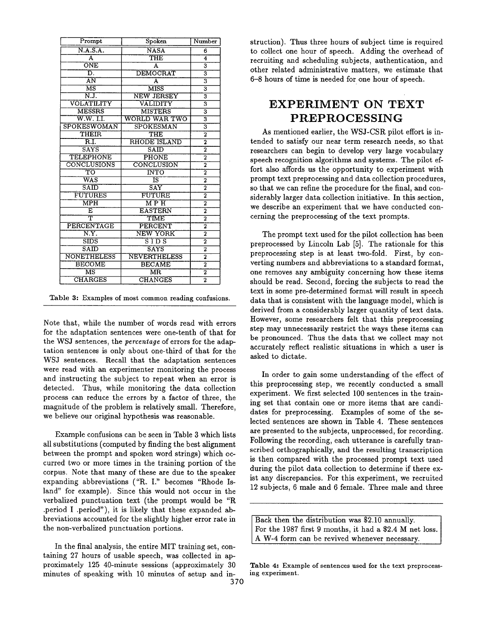| Prompt                        | Spoken                  | Number                               |
|-------------------------------|-------------------------|--------------------------------------|
| N.A.S.A.                      | <b>NASA</b>             | 6                                    |
| A                             | THE                     | $\overline{\mathbf{4}}$              |
| $\overline{\text{ONE}}$       | A                       | $\overline{\mathbf{3}}$              |
| D.                            | DEMOCRAT                | $\overline{\overline{3}}$            |
| $\overline{AN}$               | $\overline{\mathbf{A}}$ | $\overline{\mathbf{3}}$              |
| $\overline{\mathrm{MS}}$      | <b>MISS</b>             | $\overline{\overline{3}}$            |
| N.J.                          | <b>NEW JERSEY</b>       | $\overline{\overline{\overline{3}}}$ |
| VOLATILITY                    | VALIDITY                | $\overline{\mathbf{3}}$              |
| <b>MESSRS</b>                 | <b>MISTERS</b>          | $\overline{\mathbf{3}}$              |
| $\overline{\text{W.W. I.I.}}$ | WORLD WAR TWO           | 3                                    |
| <b>SPOKESWOMAN</b>            | SPOKESMAN               | 3                                    |
| THEIR                         | THE                     | $\overline{2}$                       |
| $\overline{\text{R.I.}}$      | RHODE ISLAND            | $\overline{\mathbf{2}}$              |
| <b>SAYS</b>                   | SAID                    | $\overline{\mathbf{2}}$              |
| <b>TELEPHONE</b>              | <b>PHONE</b>            | $\overline{2}$                       |
| CONCLUSIONS                   | CONCLUSION              | $\overline{2}$                       |
| TO                            | <b>INTO</b>             | $\overline{2}$                       |
| $\overline{\text{WAS}}$       | IS                      | $\overline{2}$                       |
| SAID                          | $\overline{\text{SAY}}$ | 2                                    |
| <b>FUTURES</b>                | FUTURE                  | $\overline{2}$                       |
| $\overline{\text{MPH}}$       | $\overline{\rm M~P~H}$  | $\overline{2}$                       |
| E                             | <b>EASTERN</b>          | $\overline{2}$                       |
| ᠇                             | <b>TIME</b>             | $\overline{2}$                       |
| PERCENTAGE                    | PERCENT                 | $\overline{2}$                       |
| N.Y.                          | NEW YORK                | $\overline{2}$                       |
| $\overline{\text{SIDS}}$      | SIDS                    | $\overline{\text{2}}$                |
| S AID                         | SAYS                    | $\overline{2}$                       |
| <b>NONETHELESS</b>            | <b>NEVERTHELESS</b>     | 2                                    |
| <b>BECOME</b>                 | <b>BECAME</b>           | $\overline{2}$                       |
| $\overline{\text{MS}}$        | $\overline{\text{MR}}$  | $\overline{\mathbf{2}}$              |
| <b>CHARGES</b>                | <b>CHANGES</b>          | $\overline{2}$                       |
|                               |                         |                                      |

Table 3: Examples of most common reading confusions.

Note that, while the number of words read with errors for the adaptation sentences were one-tenth of that for the WSJ sentences, the *percentage* of errors for the adaptation sentences is only about one-third of that for the WSJ sentences. Recall that the adaptation sentences were read with an experimenter monitoring the process and instructing the subject to repeat when an error is detected. Thus, while monitoring the data collection process can reduce the errors by a factor of three, the magnitude of the problem is relatively small. Therefore, we believe our original hypothesis was reasonable.

Example confusions can be seen in Table 3 which lists all substitutions (computed by finding the best alignment between the prompt and spoken word strings) which occurred two or more times in the training portion of the corpus. Note that many of these are due to the speaker expanding abbreviations ("R. I." becomes "Rhode Island" for example). Since this would not occur in the verbalized punctuation text (the prompt would be "R .period I .period"), it is likely that these expanded abbreviations accounted for the slightly higher error rate in the non-verbalized punctuation portions.

In the final analysis, the entire MIT training set, containing 27 hours of usable speech, was collected in approximately 125 40-minute sessions (approximately 30 minutes of speaking with 10 minutes of setup and instruction). Thus three hours of subject time is required to collect one hour of speech. Adding the overhead of recruiting and scheduling subjects, authentication, and other related administrative matters, we estimate that 6-8 hours of time is needed for one hour of speech.

# **EXPERIMENT ON TEXT PREPROCESSING**

As mentioned earlier, the WSJ-CSR pilot effort is intended to satisfy our near term research needs, so that researchers can begin to develop very large vocabulary speech recognition algorithms and systems. The pilot effort also affords us the opportunity to experiment with prompt text preprocessing and data collection procedures, so that we can refine the procedure for the final, and considerably larger data collection initiative. In this section, we describe an experiment that we have conducted concerning the preprocessing of the text prompts.

The prompt text used for the pilot collection has been preprocessed by Lincoln Lab [5]. The rationale for this preprocessing step is at least two-fold. First, by converting numbers and abbreviations to a standard format, one removes any ambiguity concerning how these items should be read. Second, forcing the subjects to read the text in some pre-determined format will result in speech data that is consistent with the language model, which is derived from a considerably larger quantity of text data. However, some researchers felt that this preprocessing step may unnecessarily restrict the ways these items can be pronounced. Thus the data that we collect may not accurately reflect realistic situations in which a user is asked to dictate.

In order to gain some understanding of the effect of this preprocessing step, we recently conducted a small experiment. We first selected 100 sentences in the training set that contain one or more items that are candidates for preprocessing. Examples of some of the selected sentences are shown in Table 4. These sentences are presented to the subjects, unprocessed, for recording. Following the recording, each utterance is carefully transcribed orthographically, and the resulting transcription is then compared with the processed prompt text used during the pilot data collection to determine if there exist any discrepancies. For this experiment, we recruited 12 subjects, 6 male and 6 female. Three male and three

Back then the distribution was \$2.10 annually. For the 1987 first 9 months, it had a \$2.4 M net loss. A W-4 form can be revived whenever necessary.

Table 4: Example of sentences used for the text preprocessing experiment.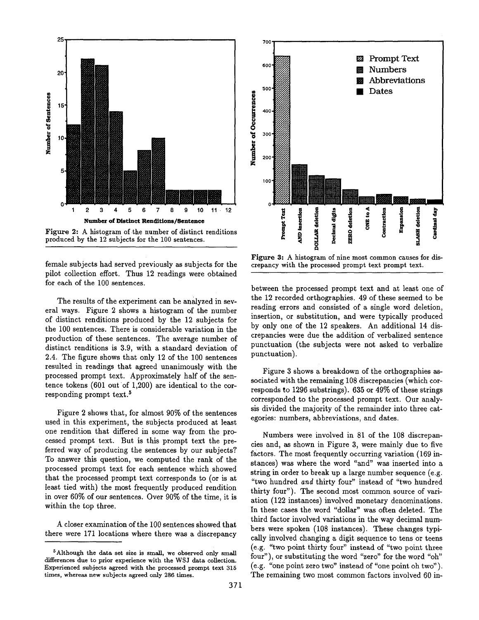

**Figure 2:** A histogram of the number of distinct renditions produced by the 12 subjects for the 100 sentences.

female subjects had served previously as subjects for the pilot collection effort. Thus 12 readings were obtained for each of the 100 sentences.

The results of the experiment can be analyzed in several ways. Figure 2 shows a histogram of the number of distinct renditions produced by the 12 subjects for the 100 sentences. There is considerable variation in the production of these sentences. The average number of distinct renditions is 3.9, with a standard deviation of 2.4. The figure shows that only 12 of the 100 sentences resulted in readings that agreed unanimously with the processed prompt text. Approximately half of the sentence tokens (601 out of 1,200) are identical to the corresponding prompt text.<sup>5</sup>

Figure 2 shows that, for almost 90% of the sentences used in this experiment, the subjects produced at least one rendition that differed in some way from the processed prompt text. But is this prompt text the preferred way of producing the sentences by our subjects? To answer this question, we computed the rank of the processed prompt text for each sentence which showed that the processed prompt text corresponds to (or is at least tied with) the most frequently produced rendition in over 60% of our sentences. Over 90% of the time, it is within the top three.

A closer examination of the 100 sentences showed that there were 171 locations where there was a discrepancy



Figure 3: A histogram of nine most common causes for discrepancy with the processed prompt text prompt text.

between the processed prompt text and at least one of the 12 recorded orthographies. 49 of these seemed to be reading errors and consisted of a single word deletion, insertion, or substitution, and were typically produced by only one of the 12 speakers. An additional 14 discrepancies were due the addition of verbalized sentence punctuation (the subjects were not asked to verbalize punctuation).

Figure 3 shows a breakdown of the orthographies associated with the remaining 108 discrepancies (which corresponds to 1296 substrings). 635 or 49% of these strings corresponded to the processed prompt text. Our analysis divided the majority of the remainder into three categories: numbers, abbreviations, and dates.

Numbers were involved in 81 of the 108 discrepancies and, as shown in Figure 3, were mainly due to five factors. The most frequently occurring variation (169 instances) was where the word "and" was inserted into a string in order to break up a large number sequence (e.g. "two hundred *and* thirty four" instead of "two hundred thirty four"). The second most common source of variation (122 instances) involved monetary denominations. In these cases the word "dollar" was often deleted. The third factor involved variations in the way decimal numbers were spoken (108 instances). These changes typically involved changing a digit sequence to tens or teens (e.g. "two point thirty four" instead of "two point three four"), or substituting the word "zero" for the word "oh" (e.g. "one point zero two" instead of "one point oh two"). The remaining two most common factors involved 60 in-

<sup>5</sup>Although the data set size is small, we observed only small differences due to prior experience with the WSJ data collection. Experienced subjects agreed with the processed prompt text 315 times, whereas new subjects agreed only 286 times.